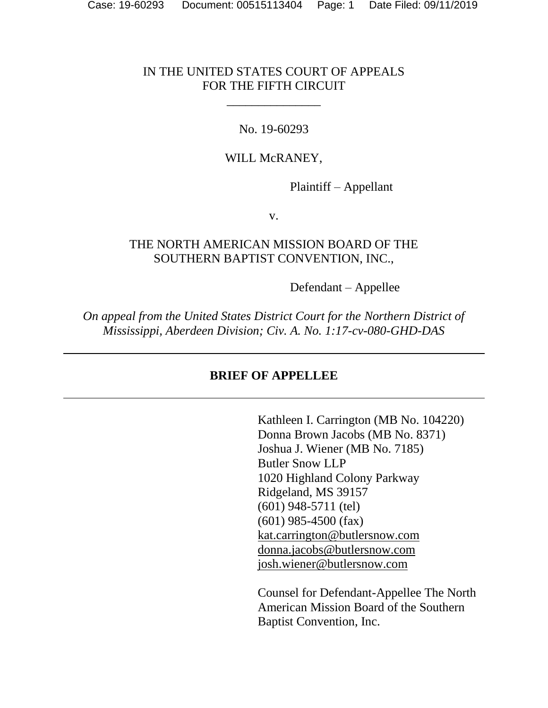### IN THE UNITED STATES COURT OF APPEALS FOR THE FIFTH CIRCUIT

\_\_\_\_\_\_\_\_\_\_\_\_\_\_\_

#### No. 19-60293

#### WILL McRANEY,

Plaintiff – Appellant

v.

#### THE NORTH AMERICAN MISSION BOARD OF THE SOUTHERN BAPTIST CONVENTION, INC.,

Defendant – Appellee

*On appeal from the United States District Court for the Northern District of Mississippi, Aberdeen Division; Civ. A. No. 1:17-cv-080-GHD-DAS*

### **BRIEF OF APPELLEE**

Kathleen I. Carrington (MB No. 104220) Donna Brown Jacobs (MB No. 8371) Joshua J. Wiener (MB No. 7185) Butler Snow LLP 1020 Highland Colony Parkway Ridgeland, MS 39157 (601) 948-5711 (tel) (601) 985-4500 (fax) kat.carrington@butlersnow.com donna.jacobs@butlersnow.com josh.wiener@butlersnow.com

Counsel for Defendant-Appellee The North American Mission Board of the Southern Baptist Convention, Inc.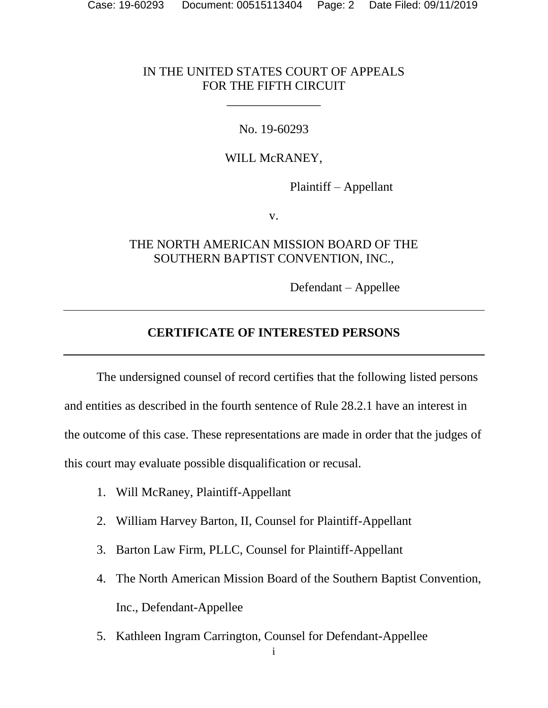#### IN THE UNITED STATES COURT OF APPEALS FOR THE FIFTH CIRCUIT

\_\_\_\_\_\_\_\_\_\_\_\_\_\_\_

#### No. 19-60293

#### WILL McRANEY,

Plaintiff – Appellant

v.

### THE NORTH AMERICAN MISSION BOARD OF THE SOUTHERN BAPTIST CONVENTION, INC.,

Defendant – Appellee

#### **CERTIFICATE OF INTERESTED PERSONS**

<span id="page-1-0"></span>The undersigned counsel of record certifies that the following listed persons and entities as described in the fourth sentence of Rule 28.2.1 have an interest in the outcome of this case. These representations are made in order that the judges of this court may evaluate possible disqualification or recusal.

- 1. Will McRaney, Plaintiff-Appellant
- 2. William Harvey Barton, II, Counsel for Plaintiff-Appellant
- 3. Barton Law Firm, PLLC, Counsel for Plaintiff-Appellant
- 4. The North American Mission Board of the Southern Baptist Convention, Inc., Defendant-Appellee
- 5. Kathleen Ingram Carrington, Counsel for Defendant-Appellee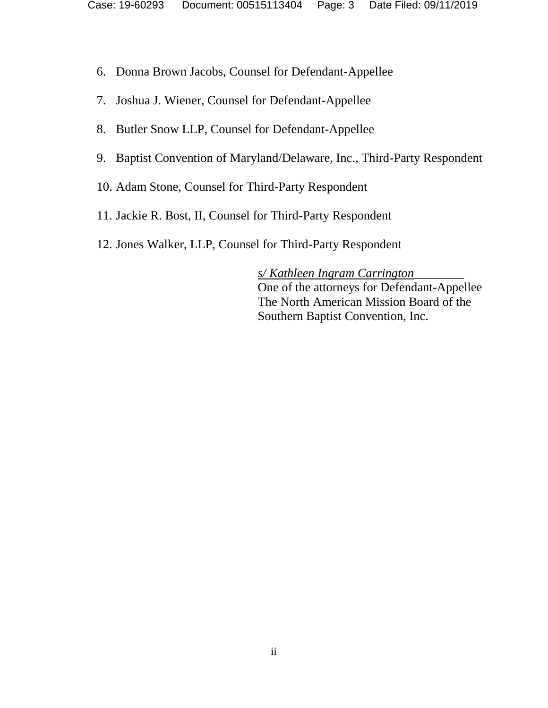- 6. Donna Brown Jacobs, Counsel for Defendant-Appellee
- 7. Joshua J. Wiener, Counsel for Defendant-Appellee
- 8. Butler Snow LLP, Counsel for Defendant-Appellee
- 9. Baptist Convention of Maryland/Delaware, Inc., Third-Party Respondent
- 10. Adam Stone, Counsel for Third-Party Respondent
- 11. Jackie R. Bost, II, Counsel for Third-Party Respondent
- 12. Jones Walker, LLP, Counsel for Third-Party Respondent

*s/ Kathleen Ingram Carrington*\_\_\_\_\_\_\_\_ One of the attorneys for Defendant-Appellee The North American Mission Board of the Southern Baptist Convention, Inc.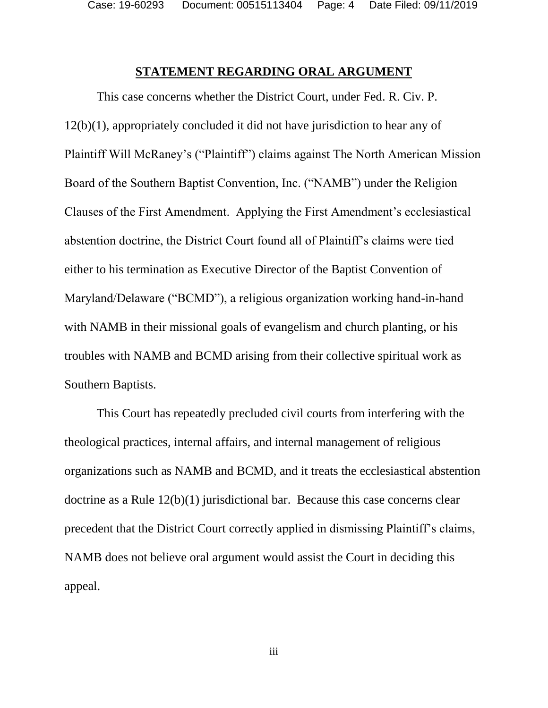Case: 19-60293 Document: 00515113404 Page: 4 Date Filed: 09/11/2019

#### **STATEMENT REGARDING ORAL ARGUMENT**

<span id="page-3-0"></span>This case concerns whether the District Court, under Fed. R. Civ. P. 12(b)(1), appropriately concluded it did not have jurisdiction to hear any of Plaintiff Will McRaney's ("Plaintiff") claims against The North American Mission Board of the Southern Baptist Convention, Inc. ("NAMB") under the Religion Clauses of the First Amendment. Applying the First Amendment's ecclesiastical abstention doctrine, the District Court found all of Plaintiff's claims were tied either to his termination as Executive Director of the Baptist Convention of Maryland/Delaware ("BCMD"), a religious organization working hand-in-hand with NAMB in their missional goals of evangelism and church planting, or his troubles with NAMB and BCMD arising from their collective spiritual work as Southern Baptists.

This Court has repeatedly precluded civil courts from interfering with the theological practices, internal affairs, and internal management of religious organizations such as NAMB and BCMD, and it treats the ecclesiastical abstention doctrine as a Rule 12(b)(1) jurisdictional bar. Because this case concerns clear precedent that the District Court correctly applied in dismissing Plaintiff's claims, NAMB does not believe oral argument would assist the Court in deciding this appeal.

iii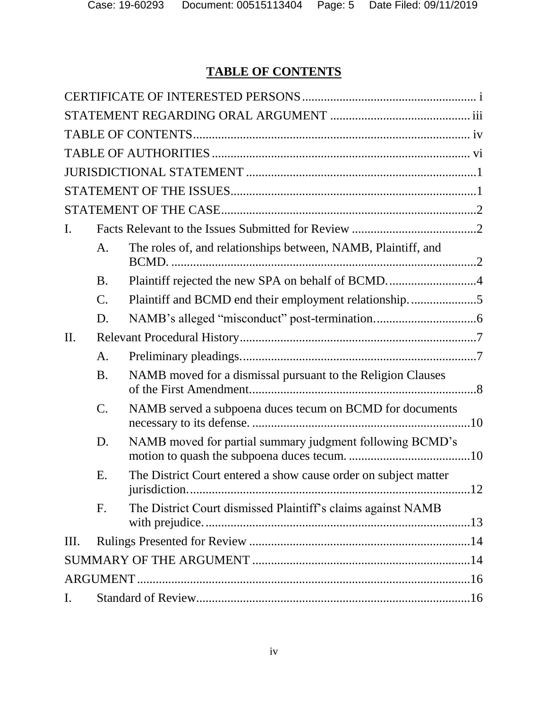# **TABLE OF CONTENTS**

<span id="page-4-0"></span>

| I.  |                 |                                                                       |  |  |  |
|-----|-----------------|-----------------------------------------------------------------------|--|--|--|
|     | А.              | The roles of, and relationships between, NAMB, Plaintiff, and         |  |  |  |
|     | <b>B.</b>       | Plaintiff rejected the new SPA on behalf of BCMD4                     |  |  |  |
|     | $\mathcal{C}.$  | Plaintiff and BCMD end their employment relationship5                 |  |  |  |
|     | D.              |                                                                       |  |  |  |
| II. |                 |                                                                       |  |  |  |
|     | A.              |                                                                       |  |  |  |
|     | <b>B.</b>       | NAMB moved for a dismissal pursuant to the Religion Clauses           |  |  |  |
|     | $\mathcal{C}$ . | NAMB served a subpoena duces tecum on BCMD for documents              |  |  |  |
|     | D.              | NAMB moved for partial summary judgment following BCMD's              |  |  |  |
|     | Ε.              | The District Court entered a show cause order on subject matter<br>12 |  |  |  |
|     | F.              | The District Court dismissed Plaintiff's claims against NAMB          |  |  |  |
| Ш.  |                 |                                                                       |  |  |  |
|     |                 |                                                                       |  |  |  |
|     |                 |                                                                       |  |  |  |
| I.  |                 |                                                                       |  |  |  |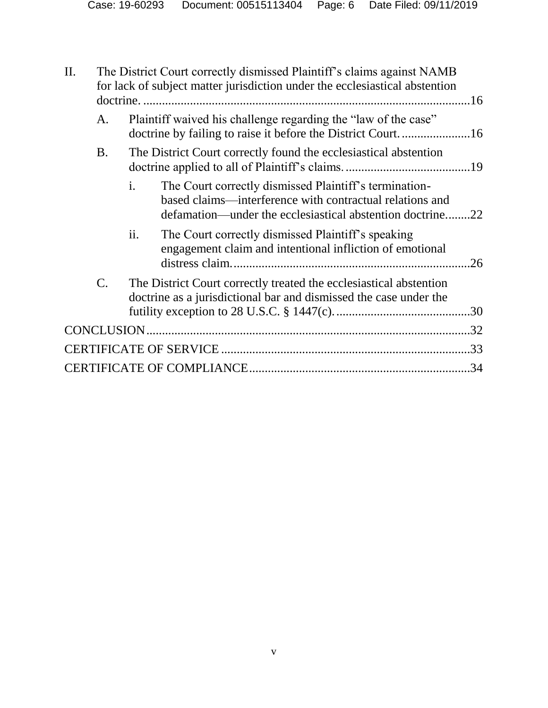| II. | The District Court correctly dismissed Plaintiff's claims against NAMB<br>for lack of subject matter jurisdiction under the ecclesiastical abstention |                                                                  |                                                                                                                                                                                 |     |  |  |
|-----|-------------------------------------------------------------------------------------------------------------------------------------------------------|------------------------------------------------------------------|---------------------------------------------------------------------------------------------------------------------------------------------------------------------------------|-----|--|--|
|     | A.                                                                                                                                                    | Plaintiff waived his challenge regarding the "law of the case"   |                                                                                                                                                                                 |     |  |  |
|     | <b>B.</b>                                                                                                                                             | The District Court correctly found the ecclesiastical abstention |                                                                                                                                                                                 |     |  |  |
|     |                                                                                                                                                       | $\mathbf{i}$ .                                                   | The Court correctly dismissed Plaintiff's termination-<br>based claims—interference with contractual relations and<br>defamation—under the ecclesiastical abstention doctrine22 |     |  |  |
|     |                                                                                                                                                       | ii.                                                              | The Court correctly dismissed Plaintiff's speaking<br>engagement claim and intentional infliction of emotional                                                                  | .26 |  |  |
|     | $\mathcal{C}$ .                                                                                                                                       |                                                                  | The District Court correctly treated the ecclesiastical abstention<br>doctrine as a jurisdictional bar and dismissed the case under the                                         |     |  |  |
|     |                                                                                                                                                       |                                                                  |                                                                                                                                                                                 |     |  |  |
|     |                                                                                                                                                       |                                                                  |                                                                                                                                                                                 | .33 |  |  |
|     |                                                                                                                                                       |                                                                  |                                                                                                                                                                                 |     |  |  |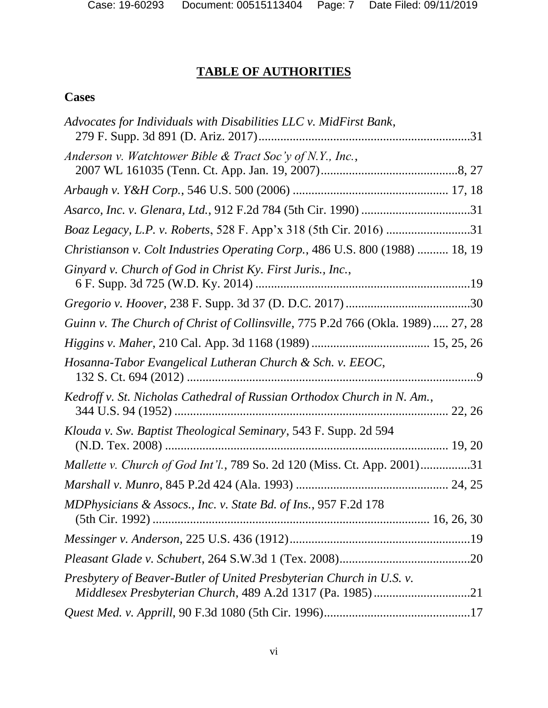# **TABLE OF AUTHORITIES**

# <span id="page-6-0"></span>**Cases**

| Advocates for Individuals with Disabilities LLC v. MidFirst Bank,               |
|---------------------------------------------------------------------------------|
| Anderson v. Watchtower Bible & Tract Soc'y of N.Y., Inc.,                       |
|                                                                                 |
|                                                                                 |
| Boaz Legacy, L.P. v. Roberts, 528 F. App'x 318 (5th Cir. 2016) 31               |
| Christianson v. Colt Industries Operating Corp., 486 U.S. 800 (1988)  18, 19    |
| Ginyard v. Church of God in Christ Ky. First Juris., Inc.,                      |
|                                                                                 |
| Guinn v. The Church of Christ of Collinsville, 775 P.2d 766 (Okla. 1989) 27, 28 |
|                                                                                 |
| Hosanna-Tabor Evangelical Lutheran Church & Sch. v. EEOC,                       |
| Kedroff v. St. Nicholas Cathedral of Russian Orthodox Church in N. Am.,         |
| Klouda v. Sw. Baptist Theological Seminary, 543 F. Supp. 2d 594                 |
| Mallette v. Church of God Int'l., 789 So. 2d 120 (Miss. Ct. App. 2001)31        |
|                                                                                 |
| MDPhysicians & Assocs., Inc. v. State Bd. of Ins., 957 F.2d 178                 |
|                                                                                 |
|                                                                                 |
| Presbytery of Beaver-Butler of United Presbyterian Church in U.S. v.            |
|                                                                                 |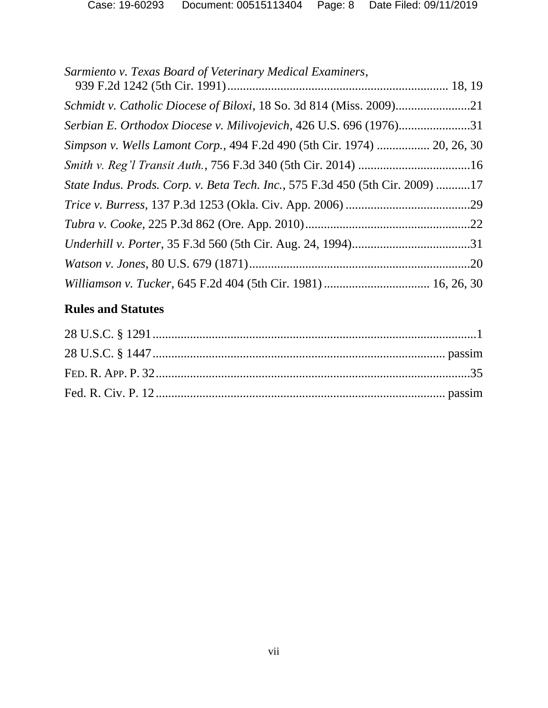| Serbian E. Orthodox Diocese v. Milivojevich, 426 U.S. 696 (1976)31            |  |
|-------------------------------------------------------------------------------|--|
| Simpson v. Wells Lamont Corp., 494 F.2d 490 (5th Cir. 1974)  20, 26, 30       |  |
|                                                                               |  |
| State Indus. Prods. Corp. v. Beta Tech. Inc., 575 F.3d 450 (5th Cir. 2009) 17 |  |
|                                                                               |  |
|                                                                               |  |
|                                                                               |  |
|                                                                               |  |
|                                                                               |  |

# **Rules and Statutes**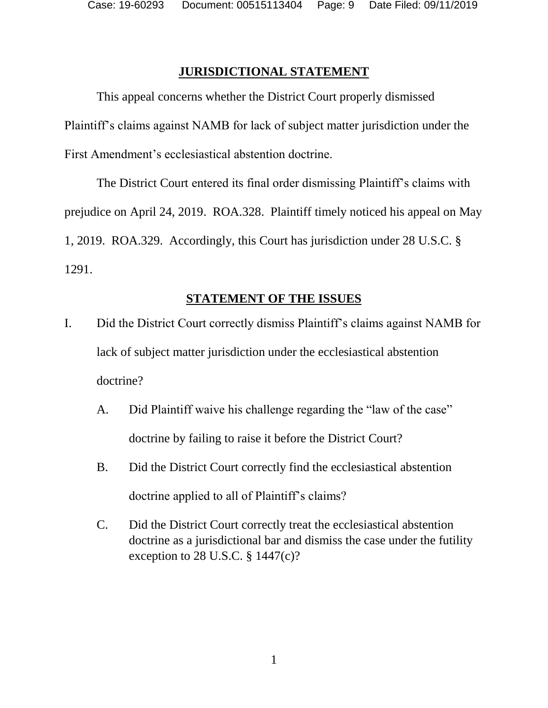### **JURISDICTIONAL STATEMENT**

<span id="page-8-0"></span>This appeal concerns whether the District Court properly dismissed Plaintiff's claims against NAMB for lack of subject matter jurisdiction under the First Amendment's ecclesiastical abstention doctrine.

The District Court entered its final order dismissing Plaintiff's claims with prejudice on April 24, 2019. ROA.328. Plaintiff timely noticed his appeal on May 1, 2019. ROA.329. Accordingly, this Court has jurisdiction under 28 U.S.C. § 1291.

### **STATEMENT OF THE ISSUES**

- <span id="page-8-1"></span>I. Did the District Court correctly dismiss Plaintiff's claims against NAMB for lack of subject matter jurisdiction under the ecclesiastical abstention doctrine?
	- A. Did Plaintiff waive his challenge regarding the "law of the case" doctrine by failing to raise it before the District Court?
	- B. Did the District Court correctly find the ecclesiastical abstention doctrine applied to all of Plaintiff's claims?
	- C. Did the District Court correctly treat the ecclesiastical abstention doctrine as a jurisdictional bar and dismiss the case under the futility exception to 28 U.S.C. § 1447(c)?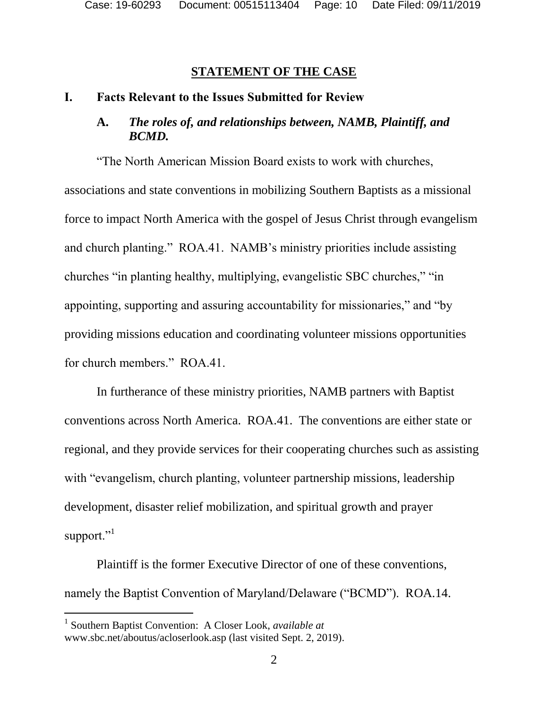#### **STATEMENT OF THE CASE**

#### <span id="page-9-2"></span><span id="page-9-1"></span><span id="page-9-0"></span>**I. Facts Relevant to the Issues Submitted for Review**

## **A.** *The roles of, and relationships between, NAMB, Plaintiff, and BCMD.*

"The North American Mission Board exists to work with churches, associations and state conventions in mobilizing Southern Baptists as a missional force to impact North America with the gospel of Jesus Christ through evangelism and church planting." ROA.41. NAMB's ministry priorities include assisting churches "in planting healthy, multiplying, evangelistic SBC churches," "in appointing, supporting and assuring accountability for missionaries," and "by providing missions education and coordinating volunteer missions opportunities for church members." ROA.41.

In furtherance of these ministry priorities, NAMB partners with Baptist conventions across North America. ROA.41. The conventions are either state or regional, and they provide services for their cooperating churches such as assisting with "evangelism, church planting, volunteer partnership missions, leadership development, disaster relief mobilization, and spiritual growth and prayer support."<sup>1</sup>

Plaintiff is the former Executive Director of one of these conventions, namely the Baptist Convention of Maryland/Delaware ("BCMD"). ROA.14.

l

<sup>&</sup>lt;sup>1</sup> Southern Baptist Convention: A Closer Look, *available at* www.sbc.net/aboutus/acloserlook.asp (last visited Sept. 2, 2019).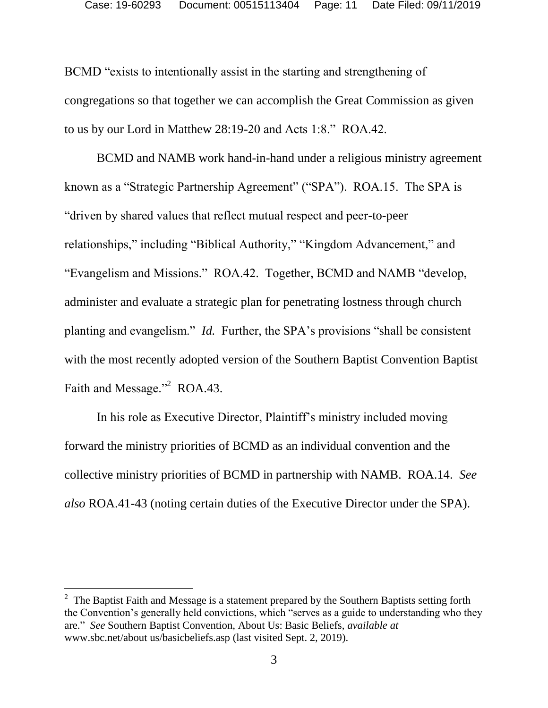BCMD "exists to intentionally assist in the starting and strengthening of congregations so that together we can accomplish the Great Commission as given to us by our Lord in Matthew 28:19-20 and Acts 1:8." ROA.42.

BCMD and NAMB work hand-in-hand under a religious ministry agreement known as a "Strategic Partnership Agreement" ("SPA"). ROA.15. The SPA is "driven by shared values that reflect mutual respect and peer-to-peer relationships," including "Biblical Authority," "Kingdom Advancement," and "Evangelism and Missions." ROA.42. Together, BCMD and NAMB "develop, administer and evaluate a strategic plan for penetrating lostness through church planting and evangelism." *Id.* Further, the SPA's provisions "shall be consistent with the most recently adopted version of the Southern Baptist Convention Baptist Faith and Message."<sup>2</sup> ROA.43.

In his role as Executive Director, Plaintiff's ministry included moving forward the ministry priorities of BCMD as an individual convention and the collective ministry priorities of BCMD in partnership with NAMB. ROA.14. *See also* ROA.41-43 (noting certain duties of the Executive Director under the SPA).

l

<sup>&</sup>lt;sup>2</sup> The Baptist Faith and Message is a statement prepared by the Southern Baptists setting forth the Convention's generally held convictions, which "serves as a guide to understanding who they are." *See* Southern Baptist Convention, About Us: Basic Beliefs, *available at* www.sbc.net/about us/basicbeliefs.asp (last visited Sept. 2, 2019).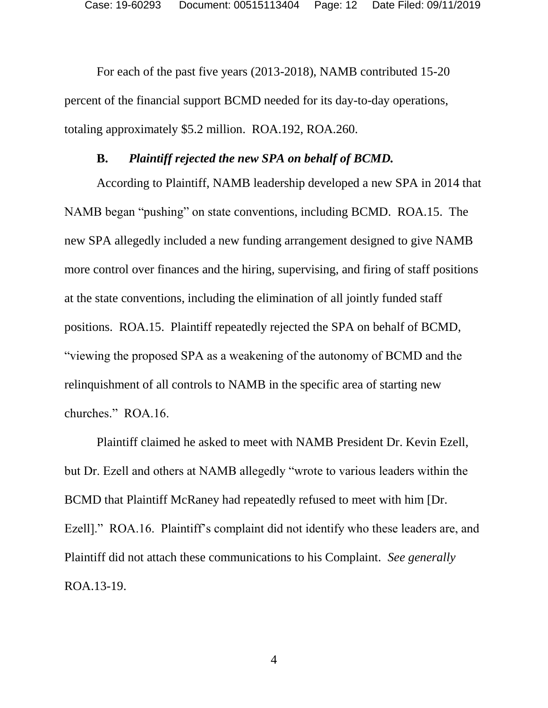For each of the past five years (2013-2018), NAMB contributed 15-20 percent of the financial support BCMD needed for its day-to-day operations, totaling approximately \$5.2 million. ROA.192, ROA.260.

#### **B.** *Plaintiff rejected the new SPA on behalf of BCMD.*

<span id="page-11-0"></span>According to Plaintiff, NAMB leadership developed a new SPA in 2014 that NAMB began "pushing" on state conventions, including BCMD. ROA.15. The new SPA allegedly included a new funding arrangement designed to give NAMB more control over finances and the hiring, supervising, and firing of staff positions at the state conventions, including the elimination of all jointly funded staff positions. ROA.15. Plaintiff repeatedly rejected the SPA on behalf of BCMD, "viewing the proposed SPA as a weakening of the autonomy of BCMD and the relinquishment of all controls to NAMB in the specific area of starting new churches." ROA.16.

Plaintiff claimed he asked to meet with NAMB President Dr. Kevin Ezell, but Dr. Ezell and others at NAMB allegedly "wrote to various leaders within the BCMD that Plaintiff McRaney had repeatedly refused to meet with him [Dr. Ezell]." ROA.16. Plaintiff's complaint did not identify who these leaders are, and Plaintiff did not attach these communications to his Complaint. *See generally* ROA.13-19.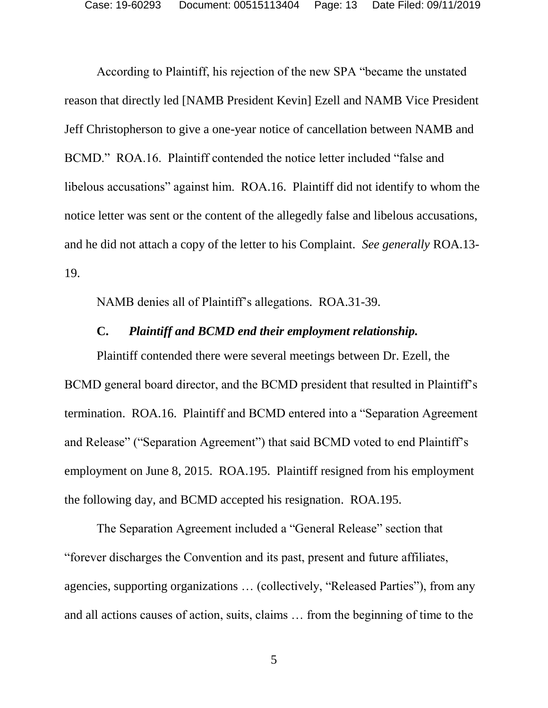According to Plaintiff, his rejection of the new SPA "became the unstated reason that directly led [NAMB President Kevin] Ezell and NAMB Vice President Jeff Christopherson to give a one-year notice of cancellation between NAMB and BCMD." ROA.16. Plaintiff contended the notice letter included "false and libelous accusations" against him. ROA.16. Plaintiff did not identify to whom the notice letter was sent or the content of the allegedly false and libelous accusations, and he did not attach a copy of the letter to his Complaint. *See generally* ROA.13- 19.

NAMB denies all of Plaintiff's allegations. ROA.31-39.

#### **C.** *Plaintiff and BCMD end their employment relationship.*

<span id="page-12-0"></span>Plaintiff contended there were several meetings between Dr. Ezell, the BCMD general board director, and the BCMD president that resulted in Plaintiff's termination. ROA.16. Plaintiff and BCMD entered into a "Separation Agreement and Release" ("Separation Agreement") that said BCMD voted to end Plaintiff's employment on June 8, 2015. ROA.195. Plaintiff resigned from his employment the following day, and BCMD accepted his resignation. ROA.195.

The Separation Agreement included a "General Release" section that "forever discharges the Convention and its past, present and future affiliates, agencies, supporting organizations … (collectively, "Released Parties"), from any and all actions causes of action, suits, claims … from the beginning of time to the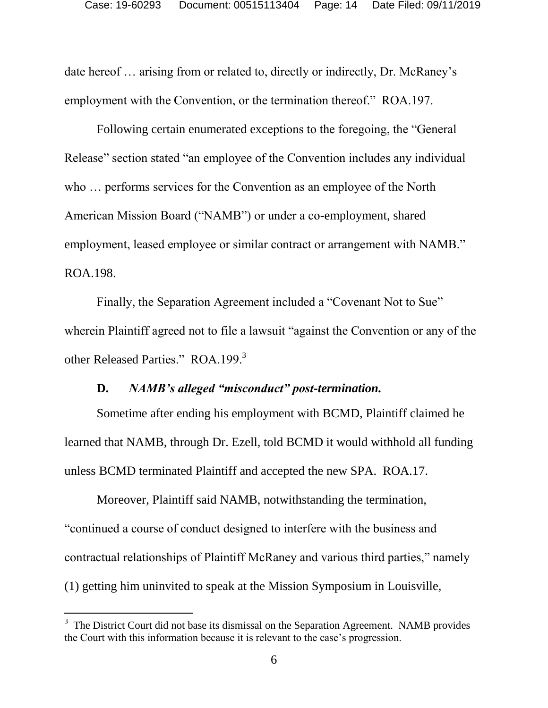date hereof … arising from or related to, directly or indirectly, Dr. McRaney's employment with the Convention, or the termination thereof." ROA.197.

Following certain enumerated exceptions to the foregoing, the "General Release" section stated "an employee of the Convention includes any individual who … performs services for the Convention as an employee of the North American Mission Board ("NAMB") or under a co-employment, shared employment, leased employee or similar contract or arrangement with NAMB." ROA.198.

Finally, the Separation Agreement included a "Covenant Not to Sue" wherein Plaintiff agreed not to file a lawsuit "against the Convention or any of the other Released Parties." ROA.199.<sup>3</sup>

#### **D.** *NAMB's alleged "misconduct" post-termination.*

<span id="page-13-0"></span>Sometime after ending his employment with BCMD, Plaintiff claimed he learned that NAMB, through Dr. Ezell, told BCMD it would withhold all funding unless BCMD terminated Plaintiff and accepted the new SPA. ROA.17.

Moreover, Plaintiff said NAMB, notwithstanding the termination, "continued a course of conduct designed to interfere with the business and contractual relationships of Plaintiff McRaney and various third parties," namely (1) getting him uninvited to speak at the Mission Symposium in Louisville,

l

 $3$  The District Court did not base its dismissal on the Separation Agreement. NAMB provides the Court with this information because it is relevant to the case's progression.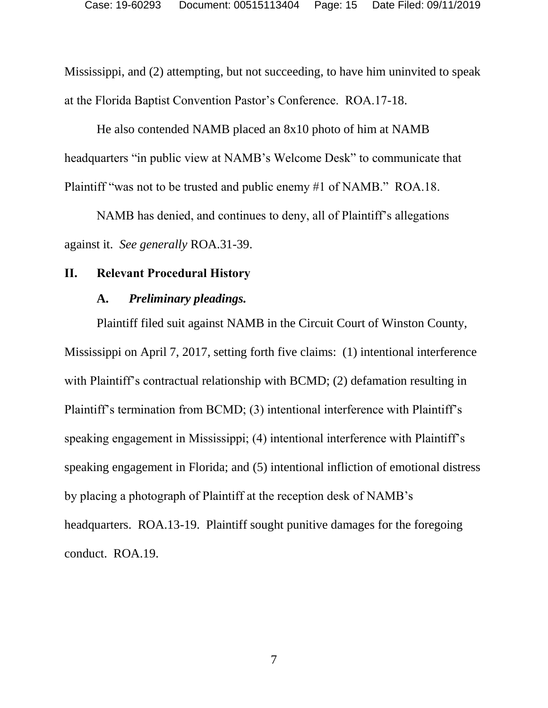Mississippi, and (2) attempting, but not succeeding, to have him uninvited to speak at the Florida Baptist Convention Pastor's Conference. ROA.17-18.

He also contended NAMB placed an 8x10 photo of him at NAMB headquarters "in public view at NAMB's Welcome Desk" to communicate that Plaintiff "was not to be trusted and public enemy #1 of NAMB." ROA.18.

NAMB has denied, and continues to deny, all of Plaintiff's allegations against it. *See generally* ROA.31-39.

#### <span id="page-14-1"></span><span id="page-14-0"></span>**II. Relevant Procedural History**

#### **A.** *Preliminary pleadings.*

Plaintiff filed suit against NAMB in the Circuit Court of Winston County, Mississippi on April 7, 2017, setting forth five claims: (1) intentional interference with Plaintiff's contractual relationship with BCMD; (2) defamation resulting in Plaintiff's termination from BCMD; (3) intentional interference with Plaintiff's speaking engagement in Mississippi; (4) intentional interference with Plaintiff's speaking engagement in Florida; and (5) intentional infliction of emotional distress by placing a photograph of Plaintiff at the reception desk of NAMB's headquarters. ROA.13-19. Plaintiff sought punitive damages for the foregoing conduct. ROA.19.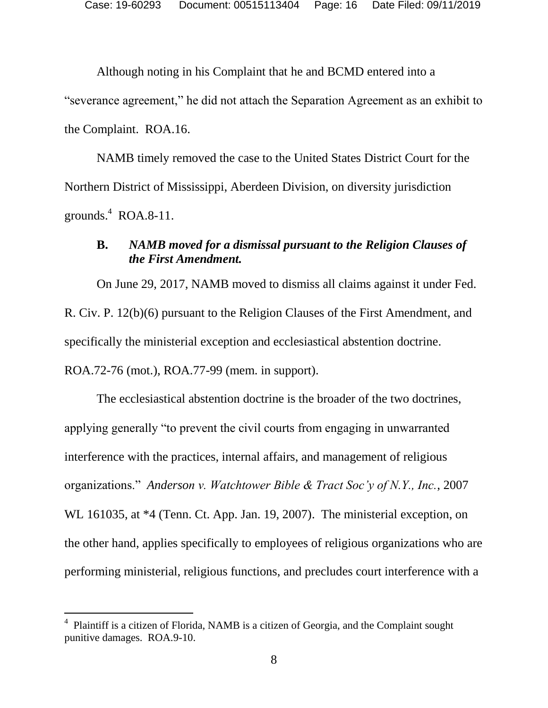Although noting in his Complaint that he and BCMD entered into a

"severance agreement," he did not attach the Separation Agreement as an exhibit to the Complaint. ROA.16.

NAMB timely removed the case to the United States District Court for the Northern District of Mississippi, Aberdeen Division, on diversity jurisdiction grounds. $4$  ROA.8-11.

### <span id="page-15-0"></span>**B.** *NAMB moved for a dismissal pursuant to the Religion Clauses of the First Amendment.*

On June 29, 2017, NAMB moved to dismiss all claims against it under Fed. R. Civ. P. 12(b)(6) pursuant to the Religion Clauses of the First Amendment, and specifically the ministerial exception and ecclesiastical abstention doctrine. ROA.72-76 (mot.), ROA.77-99 (mem. in support).

The ecclesiastical abstention doctrine is the broader of the two doctrines, applying generally "to prevent the civil courts from engaging in unwarranted interference with the practices, internal affairs, and management of religious organizations." *Anderson v. Watchtower Bible & Tract Soc'y of N.Y., Inc.*, 2007 WL 161035, at \*4 (Tenn. Ct. App. Jan. 19, 2007). The ministerial exception, on the other hand, applies specifically to employees of religious organizations who are performing ministerial, religious functions, and precludes court interference with a

l

<sup>&</sup>lt;sup>4</sup> Plaintiff is a citizen of Florida, NAMB is a citizen of Georgia, and the Complaint sought punitive damages. ROA.9-10.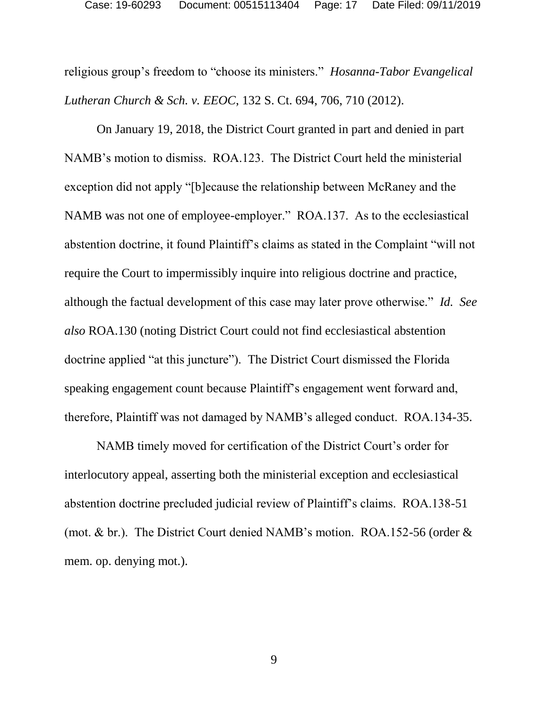religious group's freedom to "choose its ministers." *Hosanna-Tabor Evangelical Lutheran Church & Sch. v. EEOC*, 132 S. Ct. 694, 706, 710 (2012).

On January 19, 2018, the District Court granted in part and denied in part NAMB's motion to dismiss. ROA.123. The District Court held the ministerial exception did not apply "[b]ecause the relationship between McRaney and the NAMB was not one of employee-employer." ROA.137. As to the ecclesiastical abstention doctrine, it found Plaintiff's claims as stated in the Complaint "will not require the Court to impermissibly inquire into religious doctrine and practice, although the factual development of this case may later prove otherwise." *Id. See also* ROA.130 (noting District Court could not find ecclesiastical abstention doctrine applied "at this juncture"). The District Court dismissed the Florida speaking engagement count because Plaintiff's engagement went forward and, therefore, Plaintiff was not damaged by NAMB's alleged conduct. ROA.134-35.

NAMB timely moved for certification of the District Court's order for interlocutory appeal, asserting both the ministerial exception and ecclesiastical abstention doctrine precluded judicial review of Plaintiff's claims. ROA.138-51 (mot. & br.). The District Court denied NAMB's motion. ROA.152-56 (order & mem. op. denying mot.).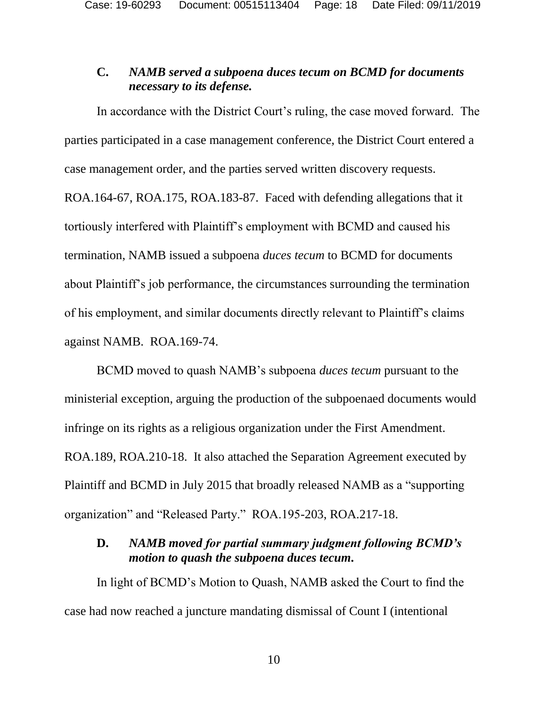### <span id="page-17-0"></span>**C.** *NAMB served a subpoena duces tecum on BCMD for documents necessary to its defense.*

In accordance with the District Court's ruling, the case moved forward. The parties participated in a case management conference, the District Court entered a case management order, and the parties served written discovery requests. ROA.164-67, ROA.175, ROA.183-87. Faced with defending allegations that it tortiously interfered with Plaintiff's employment with BCMD and caused his termination, NAMB issued a subpoena *duces tecum* to BCMD for documents about Plaintiff's job performance, the circumstances surrounding the termination of his employment, and similar documents directly relevant to Plaintiff's claims against NAMB. ROA.169-74.

BCMD moved to quash NAMB's subpoena *duces tecum* pursuant to the ministerial exception, arguing the production of the subpoenaed documents would infringe on its rights as a religious organization under the First Amendment. ROA.189, ROA.210-18. It also attached the Separation Agreement executed by Plaintiff and BCMD in July 2015 that broadly released NAMB as a "supporting organization" and "Released Party." ROA.195-203, ROA.217-18.

### <span id="page-17-1"></span>**D.** *NAMB moved for partial summary judgment following BCMD's motion to quash the subpoena duces tecum.*

In light of BCMD's Motion to Quash, NAMB asked the Court to find the case had now reached a juncture mandating dismissal of Count I (intentional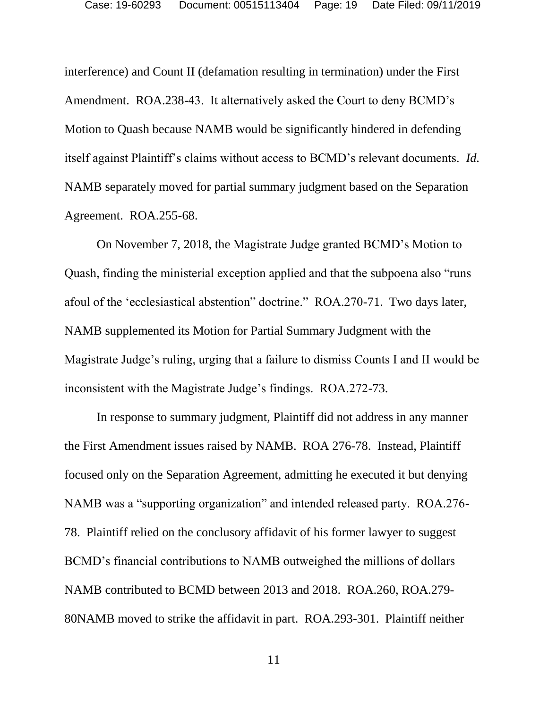interference) and Count II (defamation resulting in termination) under the First Amendment. ROA.238-43. It alternatively asked the Court to deny BCMD's Motion to Quash because NAMB would be significantly hindered in defending itself against Plaintiff's claims without access to BCMD's relevant documents. *Id.*  NAMB separately moved for partial summary judgment based on the Separation Agreement. ROA.255-68.

On November 7, 2018, the Magistrate Judge granted BCMD's Motion to Quash, finding the ministerial exception applied and that the subpoena also "runs afoul of the 'ecclesiastical abstention" doctrine." ROA.270-71. Two days later, NAMB supplemented its Motion for Partial Summary Judgment with the Magistrate Judge's ruling, urging that a failure to dismiss Counts I and II would be inconsistent with the Magistrate Judge's findings. ROA.272-73.

In response to summary judgment, Plaintiff did not address in any manner the First Amendment issues raised by NAMB. ROA 276-78. Instead, Plaintiff focused only on the Separation Agreement, admitting he executed it but denying NAMB was a "supporting organization" and intended released party. ROA.276- 78. Plaintiff relied on the conclusory affidavit of his former lawyer to suggest BCMD's financial contributions to NAMB outweighed the millions of dollars NAMB contributed to BCMD between 2013 and 2018. ROA.260, ROA.279- 80NAMB moved to strike the affidavit in part. ROA.293-301. Plaintiff neither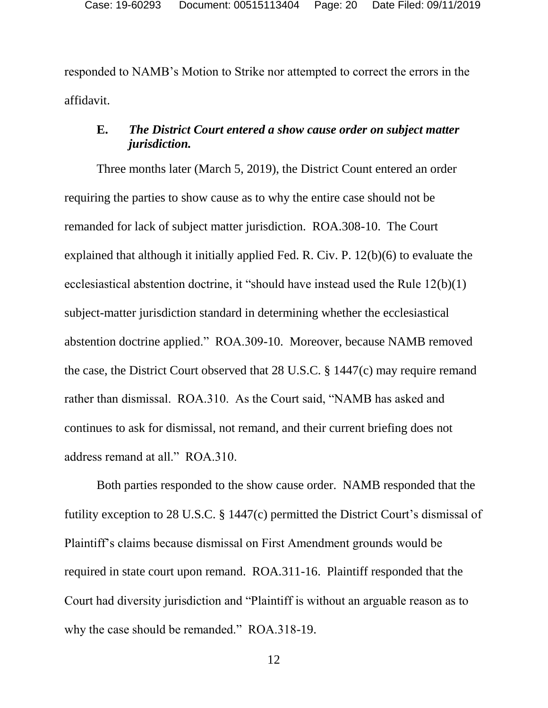responded to NAMB's Motion to Strike nor attempted to correct the errors in the affidavit.

### <span id="page-19-0"></span>**E.** *The District Court entered a show cause order on subject matter jurisdiction.*

Three months later (March 5, 2019), the District Count entered an order requiring the parties to show cause as to why the entire case should not be remanded for lack of subject matter jurisdiction. ROA.308-10. The Court explained that although it initially applied Fed. R. Civ. P. 12(b)(6) to evaluate the ecclesiastical abstention doctrine, it "should have instead used the Rule 12(b)(1) subject-matter jurisdiction standard in determining whether the ecclesiastical abstention doctrine applied." ROA.309-10. Moreover, because NAMB removed the case, the District Court observed that 28 U.S.C. § 1447(c) may require remand rather than dismissal. ROA.310. As the Court said, "NAMB has asked and continues to ask for dismissal, not remand, and their current briefing does not address remand at all." ROA.310.

Both parties responded to the show cause order. NAMB responded that the futility exception to 28 U.S.C. § 1447(c) permitted the District Court's dismissal of Plaintiff's claims because dismissal on First Amendment grounds would be required in state court upon remand. ROA.311-16. Plaintiff responded that the Court had diversity jurisdiction and "Plaintiff is without an arguable reason as to why the case should be remanded." ROA.318-19.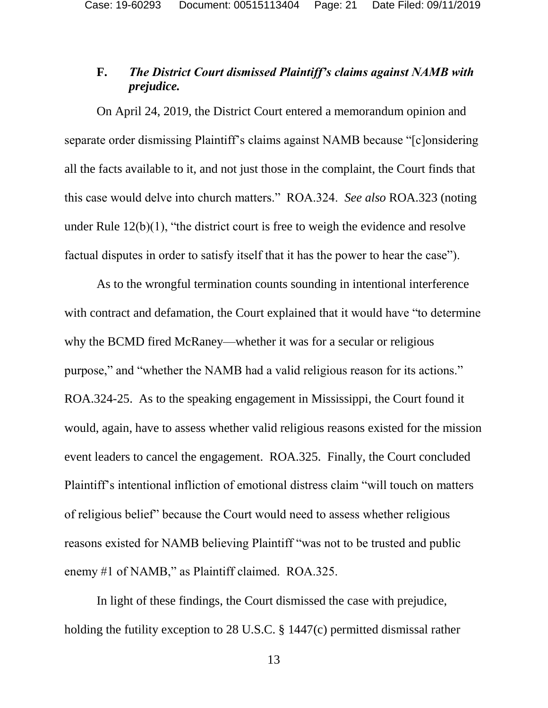### <span id="page-20-0"></span>**F.** *The District Court dismissed Plaintiff's claims against NAMB with prejudice.*

On April 24, 2019, the District Court entered a memorandum opinion and separate order dismissing Plaintiff's claims against NAMB because "[c]onsidering all the facts available to it, and not just those in the complaint, the Court finds that this case would delve into church matters." ROA.324. *See also* ROA.323 (noting under Rule  $12(b)(1)$ , "the district court is free to weigh the evidence and resolve factual disputes in order to satisfy itself that it has the power to hear the case").

As to the wrongful termination counts sounding in intentional interference with contract and defamation, the Court explained that it would have "to determine" why the BCMD fired McRaney—whether it was for a secular or religious purpose," and "whether the NAMB had a valid religious reason for its actions." ROA.324-25. As to the speaking engagement in Mississippi, the Court found it would, again, have to assess whether valid religious reasons existed for the mission event leaders to cancel the engagement. ROA.325. Finally, the Court concluded Plaintiff's intentional infliction of emotional distress claim "will touch on matters of religious belief" because the Court would need to assess whether religious reasons existed for NAMB believing Plaintiff "was not to be trusted and public enemy #1 of NAMB," as Plaintiff claimed. ROA.325.

In light of these findings, the Court dismissed the case with prejudice, holding the futility exception to 28 U.S.C. § 1447(c) permitted dismissal rather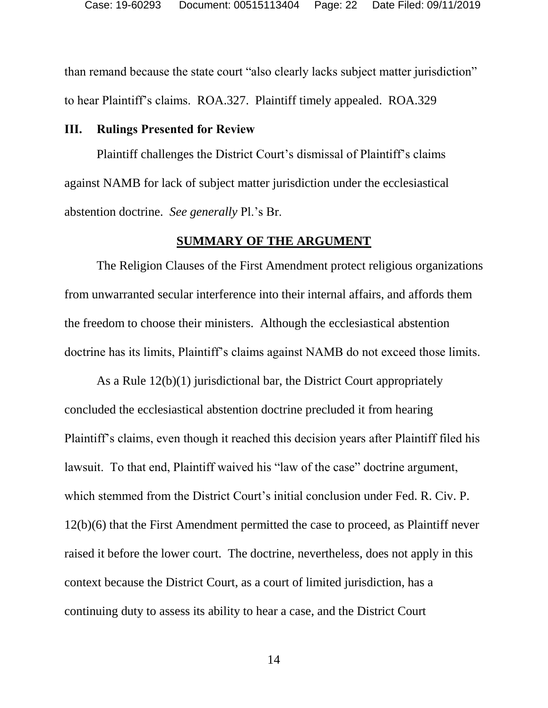than remand because the state court "also clearly lacks subject matter jurisdiction" to hear Plaintiff's claims. ROA.327. Plaintiff timely appealed. ROA.329

#### <span id="page-21-0"></span>**III. Rulings Presented for Review**

Plaintiff challenges the District Court's dismissal of Plaintiff's claims against NAMB for lack of subject matter jurisdiction under the ecclesiastical abstention doctrine. *See generally* Pl.'s Br.

#### **SUMMARY OF THE ARGUMENT**

<span id="page-21-1"></span>The Religion Clauses of the First Amendment protect religious organizations from unwarranted secular interference into their internal affairs, and affords them the freedom to choose their ministers. Although the ecclesiastical abstention doctrine has its limits, Plaintiff's claims against NAMB do not exceed those limits.

As a Rule 12(b)(1) jurisdictional bar, the District Court appropriately concluded the ecclesiastical abstention doctrine precluded it from hearing Plaintiff's claims, even though it reached this decision years after Plaintiff filed his lawsuit. To that end, Plaintiff waived his "law of the case" doctrine argument, which stemmed from the District Court's initial conclusion under Fed. R. Civ. P. 12(b)(6) that the First Amendment permitted the case to proceed, as Plaintiff never raised it before the lower court. The doctrine, nevertheless, does not apply in this context because the District Court, as a court of limited jurisdiction, has a continuing duty to assess its ability to hear a case, and the District Court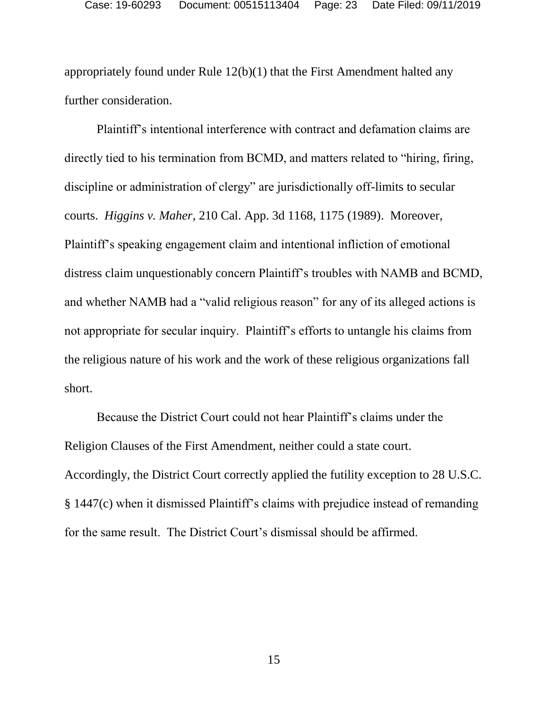appropriately found under Rule 12(b)(1) that the First Amendment halted any further consideration.

Plaintiff's intentional interference with contract and defamation claims are directly tied to his termination from BCMD, and matters related to "hiring, firing, discipline or administration of clergy" are jurisdictionally off-limits to secular courts. *Higgins v. Maher*, 210 Cal. App. 3d 1168, 1175 (1989). Moreover, Plaintiff's speaking engagement claim and intentional infliction of emotional distress claim unquestionably concern Plaintiff's troubles with NAMB and BCMD, and whether NAMB had a "valid religious reason" for any of its alleged actions is not appropriate for secular inquiry. Plaintiff's efforts to untangle his claims from the religious nature of his work and the work of these religious organizations fall short.

Because the District Court could not hear Plaintiff's claims under the Religion Clauses of the First Amendment, neither could a state court. Accordingly, the District Court correctly applied the futility exception to 28 U.S.C. § 1447(c) when it dismissed Plaintiff's claims with prejudice instead of remanding for the same result. The District Court's dismissal should be affirmed.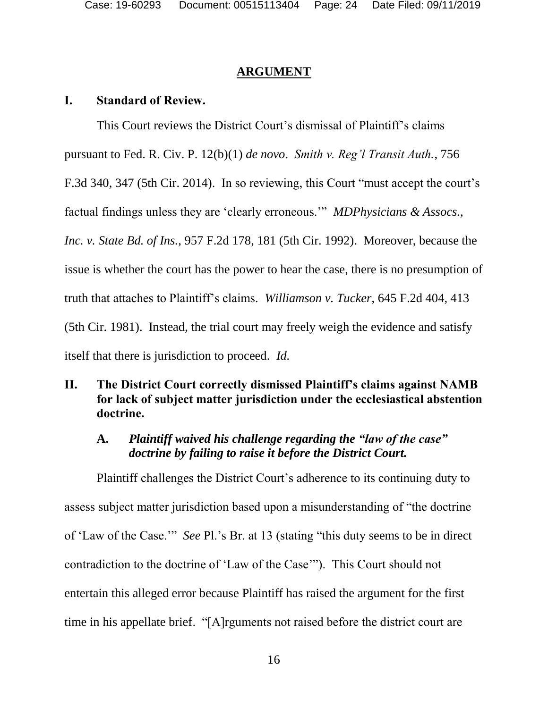### **ARGUMENT**

## <span id="page-23-1"></span><span id="page-23-0"></span>**I. Standard of Review.**

This Court reviews the District Court's dismissal of Plaintiff's claims

pursuant to Fed. R. Civ. P. 12(b)(1) *de novo*. *Smith v. Reg'l Transit Auth.*, 756

F.3d 340, 347 (5th Cir. 2014). In so reviewing, this Court "must accept the court's

factual findings unless they are 'clearly erroneous.'" *MDPhysicians & Assocs.,* 

*Inc. v. State Bd. of Ins.*, 957 F.2d 178, 181 (5th Cir. 1992). Moreover, because the

issue is whether the court has the power to hear the case, there is no presumption of

truth that attaches to Plaintiff's claims. *Williamson v. Tucker*, 645 F.2d 404, 413

(5th Cir. 1981). Instead, the trial court may freely weigh the evidence and satisfy

itself that there is jurisdiction to proceed. *Id.*

# <span id="page-23-2"></span>**II. The District Court correctly dismissed Plaintiff's claims against NAMB for lack of subject matter jurisdiction under the ecclesiastical abstention doctrine.**

# <span id="page-23-3"></span>**A.** *Plaintiff waived his challenge regarding the "law of the case" doctrine by failing to raise it before the District Court.*

Plaintiff challenges the District Court's adherence to its continuing duty to assess subject matter jurisdiction based upon a misunderstanding of "the doctrine of 'Law of the Case.'" *See* Pl.'s Br. at 13 (stating "this duty seems to be in direct contradiction to the doctrine of 'Law of the Case'"). This Court should not entertain this alleged error because Plaintiff has raised the argument for the first time in his appellate brief. "[A]rguments not raised before the district court are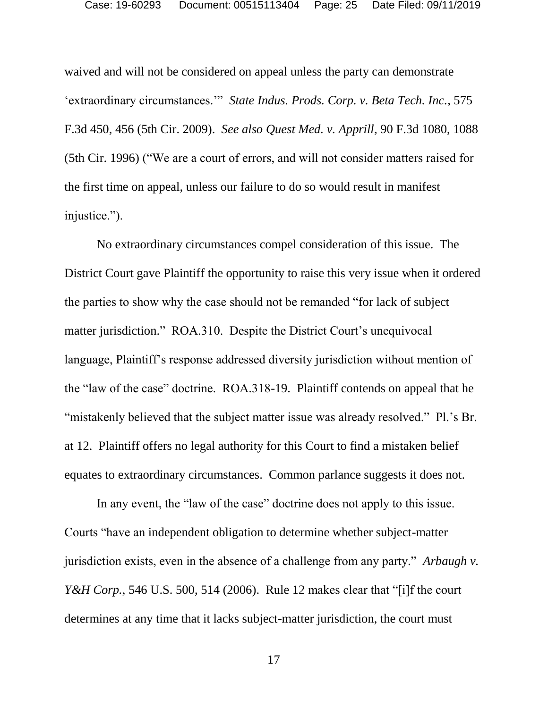waived and will not be considered on appeal unless the party can demonstrate 'extraordinary circumstances.'" *State Indus. Prods. Corp. v. Beta Tech. Inc.*, 575 F.3d 450, 456 (5th Cir. 2009). *See also Quest Med. v. Apprill*, 90 F.3d 1080, 1088 (5th Cir. 1996) ("We are a court of errors, and will not consider matters raised for the first time on appeal, unless our failure to do so would result in manifest injustice.").

No extraordinary circumstances compel consideration of this issue. The District Court gave Plaintiff the opportunity to raise this very issue when it ordered the parties to show why the case should not be remanded "for lack of subject matter jurisdiction." ROA.310. Despite the District Court's unequivocal language, Plaintiff's response addressed diversity jurisdiction without mention of the "law of the case" doctrine. ROA.318-19. Plaintiff contends on appeal that he "mistakenly believed that the subject matter issue was already resolved." Pl.'s Br. at 12. Plaintiff offers no legal authority for this Court to find a mistaken belief equates to extraordinary circumstances. Common parlance suggests it does not.

In any event, the "law of the case" doctrine does not apply to this issue. Courts "have an independent obligation to determine whether subject-matter jurisdiction exists, even in the absence of a challenge from any party." *Arbaugh v. Y&H Corp.*, 546 U.S. 500, 514 (2006). Rule 12 makes clear that "[i]f the court determines at any time that it lacks subject-matter jurisdiction, the court must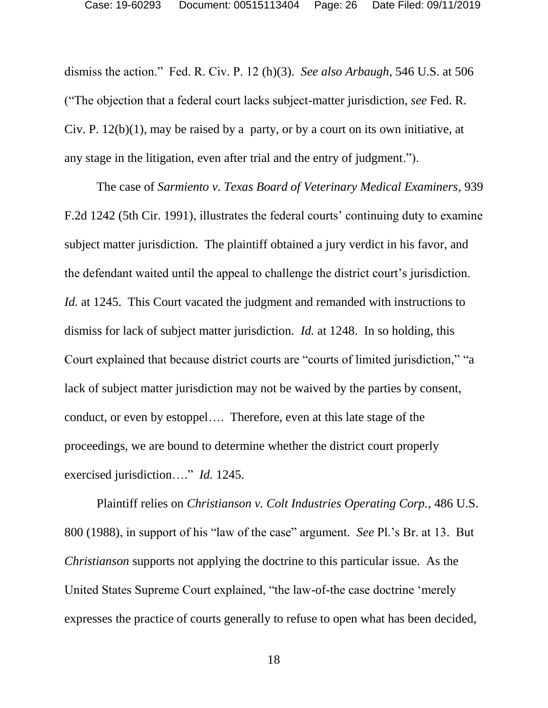dismiss the action." Fed. R. Civ. P. 12 (h)(3). *See also Arbaugh*, 546 U.S. at 506 ("The objection that a federal court lacks subject-matter jurisdiction, *see* Fed. R. Civ. P.  $12(b)(1)$ , may be raised by a party, or by a court on its own initiative, at any stage in the litigation, even after trial and the entry of judgment.").

The case of *Sarmiento v. Texas Board of Veterinary Medical Examiners*, 939 F.2d 1242 (5th Cir. 1991), illustrates the federal courts' continuing duty to examine subject matter jurisdiction. The plaintiff obtained a jury verdict in his favor, and the defendant waited until the appeal to challenge the district court's jurisdiction. *Id.* at 1245. This Court vacated the judgment and remanded with instructions to dismiss for lack of subject matter jurisdiction. *Id.* at 1248. In so holding, this Court explained that because district courts are "courts of limited jurisdiction," "a lack of subject matter jurisdiction may not be waived by the parties by consent, conduct, or even by estoppel…. Therefore, even at this late stage of the proceedings, we are bound to determine whether the district court properly exercised jurisdiction…." *Id.* 1245.

Plaintiff relies on *Christianson v. Colt Industries Operating Corp.*, 486 U.S. 800 (1988), in support of his "law of the case" argument. *See* Pl.'s Br. at 13. But *Christianson* supports not applying the doctrine to this particular issue. As the United States Supreme Court explained, "the law-of-the case doctrine 'merely expresses the practice of courts generally to refuse to open what has been decided,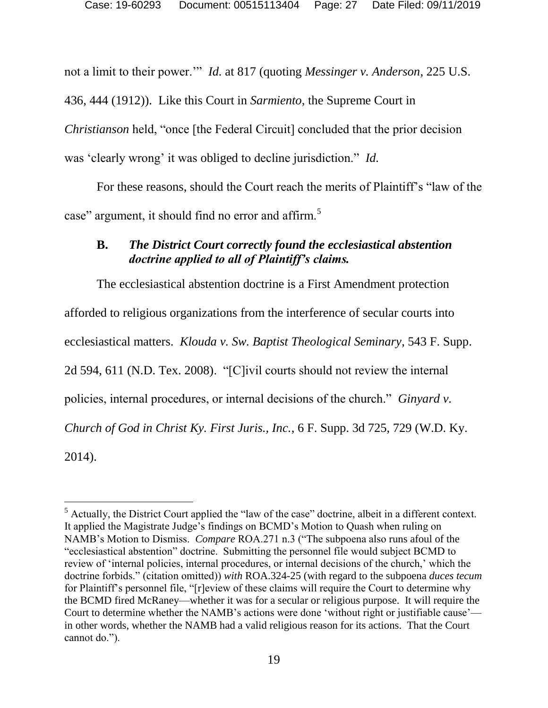not a limit to their power.'" *Id.* at 817 (quoting *Messinger v. Anderson*, 225 U.S. 436, 444 (1912)). Like this Court in *Sarmiento*, the Supreme Court in *Christianson* held, "once [the Federal Circuit] concluded that the prior decision was 'clearly wrong' it was obliged to decline jurisdiction." *Id.*

For these reasons, should the Court reach the merits of Plaintiff's "law of the case" argument, it should find no error and affirm.<sup>5</sup>

## <span id="page-26-0"></span>**B.** *The District Court correctly found the ecclesiastical abstention doctrine applied to all of Plaintiff's claims.*

The ecclesiastical abstention doctrine is a First Amendment protection afforded to religious organizations from the interference of secular courts into ecclesiastical matters. *Klouda v. Sw. Baptist Theological Seminary*, 543 F. Supp. 2d 594, 611 (N.D. Tex. 2008). "[C]ivil courts should not review the internal policies, internal procedures, or internal decisions of the church." *Ginyard v. Church of God in Christ Ky. First Juris., Inc.*, 6 F. Supp. 3d 725, 729 (W.D. Ky. 2014).

 $\overline{a}$  $<sup>5</sup>$  Actually, the District Court applied the "law of the case" doctrine, albeit in a different context.</sup> It applied the Magistrate Judge's findings on BCMD's Motion to Quash when ruling on NAMB's Motion to Dismiss. *Compare* ROA.271 n.3 ("The subpoena also runs afoul of the "ecclesiastical abstention" doctrine. Submitting the personnel file would subject BCMD to review of 'internal policies, internal procedures, or internal decisions of the church,' which the doctrine forbids." (citation omitted)) *with* ROA.324-25 (with regard to the subpoena *duces tecum* for Plaintiff's personnel file, "[r]eview of these claims will require the Court to determine why the BCMD fired McRaney—whether it was for a secular or religious purpose. It will require the Court to determine whether the NAMB's actions were done 'without right or justifiable cause' in other words, whether the NAMB had a valid religious reason for its actions. That the Court cannot do.").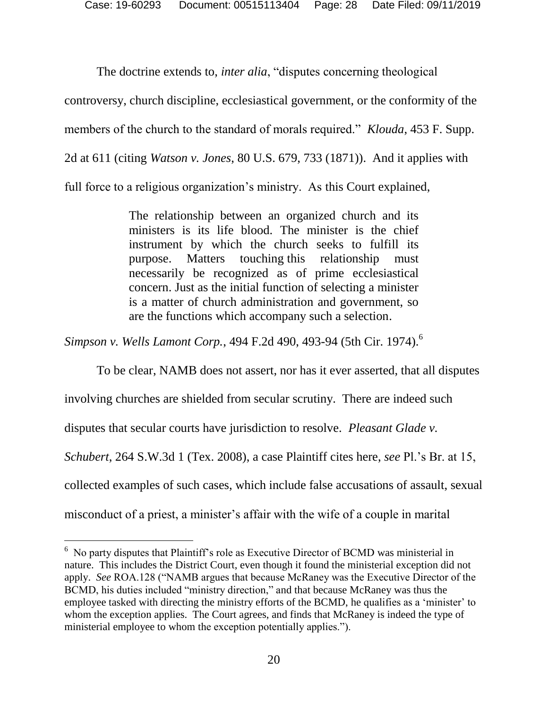The doctrine extends to, *inter alia*, "disputes concerning theological

controversy, church discipline, ecclesiastical government, or the conformity of the

members of the church to the standard of morals required." *Klouda*, 453 F. Supp.

2d at 611 (citing *Watson v. Jones*, 80 U.S. 679, 733 (1871)). And it applies with

full force to a religious organization's ministry. As this Court explained,

The relationship between an organized church and its ministers is its life blood. The minister is the chief instrument by which the church seeks to fulfill its purpose. Matters touching this relationship must necessarily be recognized as of prime ecclesiastical concern. Just as the initial function of selecting a minister is a matter of church administration and government, so are the functions which accompany such a selection.

*Simpson v. Wells Lamont Corp.*, 494 F.2d 490, 493-94 (5th Cir. 1974). 6

To be clear, NAMB does not assert, nor has it ever asserted, that all disputes

involving churches are shielded from secular scrutiny. There are indeed such

disputes that secular courts have jurisdiction to resolve. *Pleasant Glade v.* 

*Schubert*, 264 S.W.3d 1 (Tex. 2008), a case Plaintiff cites here, *see* Pl.'s Br. at 15,

collected examples of such cases, which include false accusations of assault, sexual

misconduct of a priest, a minister's affair with the wife of a couple in marital

l

<sup>6</sup> No party disputes that Plaintiff's role as Executive Director of BCMD was ministerial in nature. This includes the District Court, even though it found the ministerial exception did not apply. *See* ROA.128 ("NAMB argues that because McRaney was the Executive Director of the BCMD, his duties included "ministry direction," and that because McRaney was thus the employee tasked with directing the ministry efforts of the BCMD, he qualifies as a 'minister' to whom the exception applies. The Court agrees, and finds that McRaney is indeed the type of ministerial employee to whom the exception potentially applies.").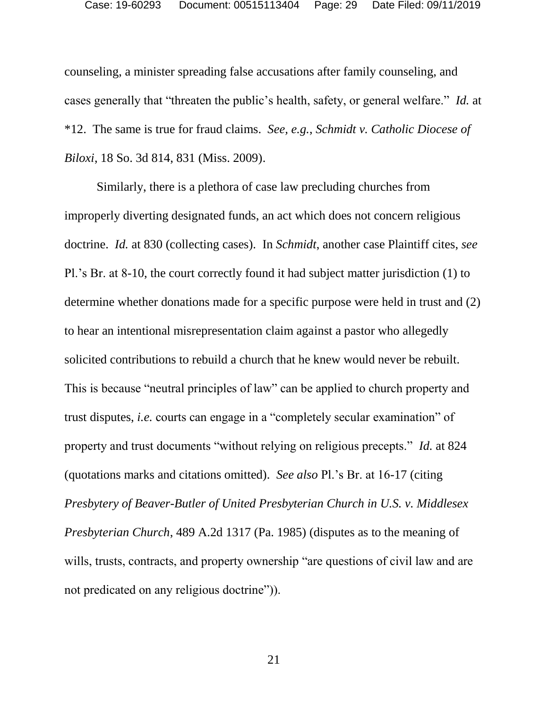counseling, a minister spreading false accusations after family counseling, and cases generally that "threaten the public's health, safety, or general welfare." *Id.* at \*12. The same is true for fraud claims. *See, e.g.*, *Schmidt v. Catholic Diocese of Biloxi*, 18 So. 3d 814, 831 (Miss. 2009).

Similarly, there is a plethora of case law precluding churches from improperly diverting designated funds, an act which does not concern religious doctrine. *Id.* at 830 (collecting cases).In *Schmidt*, another case Plaintiff cites, *see*  Pl.'s Br. at 8-10, the court correctly found it had subject matter jurisdiction (1) to determine whether donations made for a specific purpose were held in trust and (2) to hear an intentional misrepresentation claim against a pastor who allegedly solicited contributions to rebuild a church that he knew would never be rebuilt. This is because "neutral principles of law" can be applied to church property and trust disputes, *i.e.* courts can engage in a "completely secular examination" of property and trust documents "without relying on religious precepts." *Id.* at 824 (quotations marks and citations omitted). *See also* Pl.'s Br. at 16-17 (citing *Presbytery of Beaver-Butler of United Presbyterian Church in U.S. v. Middlesex Presbyterian Church*, 489 A.2d 1317 (Pa. 1985) (disputes as to the meaning of wills, trusts, contracts, and property ownership "are questions of civil law and are not predicated on any religious doctrine")).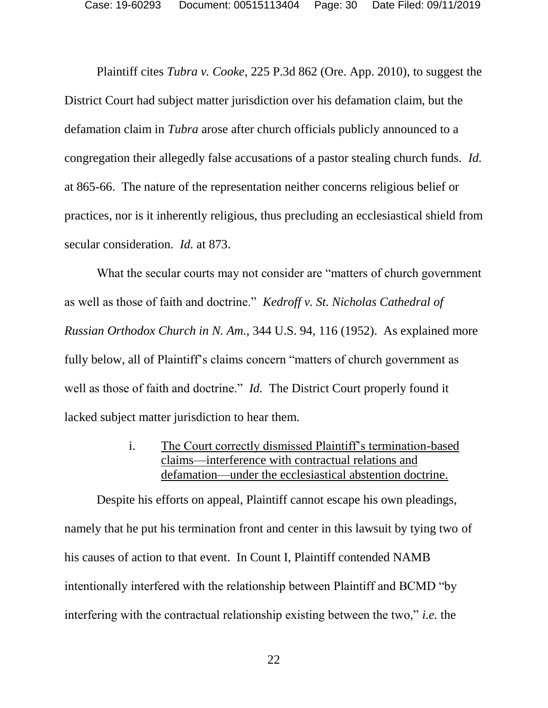Plaintiff cites *Tubra v. Cooke*, 225 P.3d 862 (Ore. App. 2010), to suggest the District Court had subject matter jurisdiction over his defamation claim, but the defamation claim in *Tubra* arose after church officials publicly announced to a congregation their allegedly false accusations of a pastor stealing church funds. *Id.* at 865-66. The nature of the representation neither concerns religious belief or practices, nor is it inherently religious, thus precluding an ecclesiastical shield from secular consideration. *Id.* at 873.

What the secular courts may not consider are "matters of church government as well as those of faith and doctrine." *Kedroff v. St. Nicholas Cathedral of Russian Orthodox Church in N. Am.*, 344 U.S. 94, 116 (1952). As explained more fully below, all of Plaintiff's claims concern "matters of church government as well as those of faith and doctrine." *Id.* The District Court properly found it lacked subject matter jurisdiction to hear them.

> i. The Court correctly dismissed Plaintiff's termination-based claims—interference with contractual relations and defamation—under the ecclesiastical abstention doctrine.

<span id="page-29-0"></span>Despite his efforts on appeal, Plaintiff cannot escape his own pleadings, namely that he put his termination front and center in this lawsuit by tying two of his causes of action to that event. In Count I, Plaintiff contended NAMB intentionally interfered with the relationship between Plaintiff and BCMD "by interfering with the contractual relationship existing between the two," *i.e.* the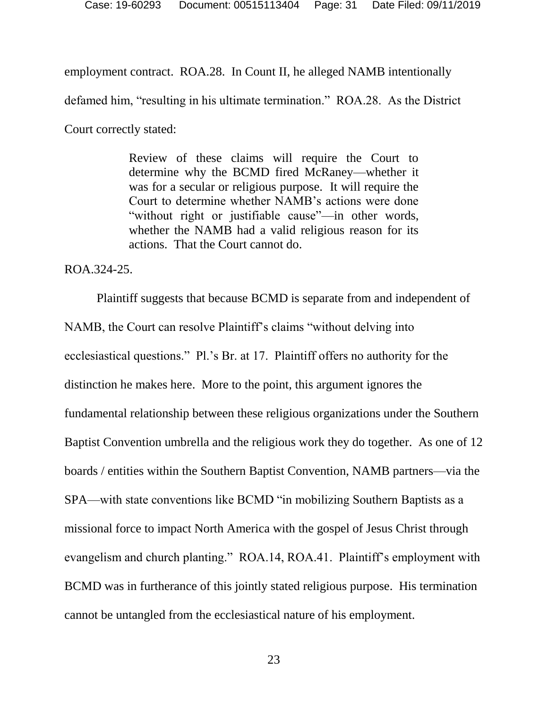employment contract. ROA.28. In Count II, he alleged NAMB intentionally defamed him, "resulting in his ultimate termination." ROA.28. As the District Court correctly stated:

> Review of these claims will require the Court to determine why the BCMD fired McRaney—whether it was for a secular or religious purpose. It will require the Court to determine whether NAMB's actions were done "without right or justifiable cause"—in other words, whether the NAMB had a valid religious reason for its actions. That the Court cannot do.

ROA.324-25.

Plaintiff suggests that because BCMD is separate from and independent of NAMB, the Court can resolve Plaintiff's claims "without delving into ecclesiastical questions." Pl.'s Br. at 17. Plaintiff offers no authority for the distinction he makes here. More to the point, this argument ignores the fundamental relationship between these religious organizations under the Southern Baptist Convention umbrella and the religious work they do together. As one of 12 boards / entities within the Southern Baptist Convention, NAMB partners—via the SPA—with state conventions like BCMD "in mobilizing Southern Baptists as a missional force to impact North America with the gospel of Jesus Christ through evangelism and church planting." ROA.14, ROA.41. Plaintiff's employment with BCMD was in furtherance of this jointly stated religious purpose. His termination cannot be untangled from the ecclesiastical nature of his employment.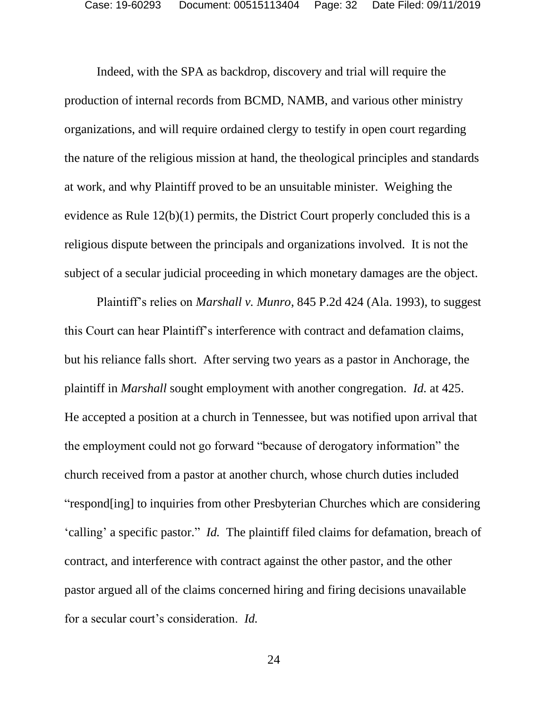Indeed, with the SPA as backdrop, discovery and trial will require the production of internal records from BCMD, NAMB, and various other ministry organizations, and will require ordained clergy to testify in open court regarding the nature of the religious mission at hand, the theological principles and standards at work, and why Plaintiff proved to be an unsuitable minister. Weighing the evidence as Rule 12(b)(1) permits, the District Court properly concluded this is a religious dispute between the principals and organizations involved. It is not the subject of a secular judicial proceeding in which monetary damages are the object.

Plaintiff's relies on *Marshall v. Munro*, 845 P.2d 424 (Ala. 1993), to suggest this Court can hear Plaintiff's interference with contract and defamation claims, but his reliance falls short. After serving two years as a pastor in Anchorage, the plaintiff in *Marshall* sought employment with another congregation. *Id.* at 425. He accepted a position at a church in Tennessee, but was notified upon arrival that the employment could not go forward "because of derogatory information" the church received from a pastor at another church, whose church duties included "respond[ing] to inquiries from other Presbyterian Churches which are considering 'calling' a specific pastor." *Id.* The plaintiff filed claims for defamation, breach of contract, and interference with contract against the other pastor, and the other pastor argued all of the claims concerned hiring and firing decisions unavailable for a secular court's consideration. *Id.*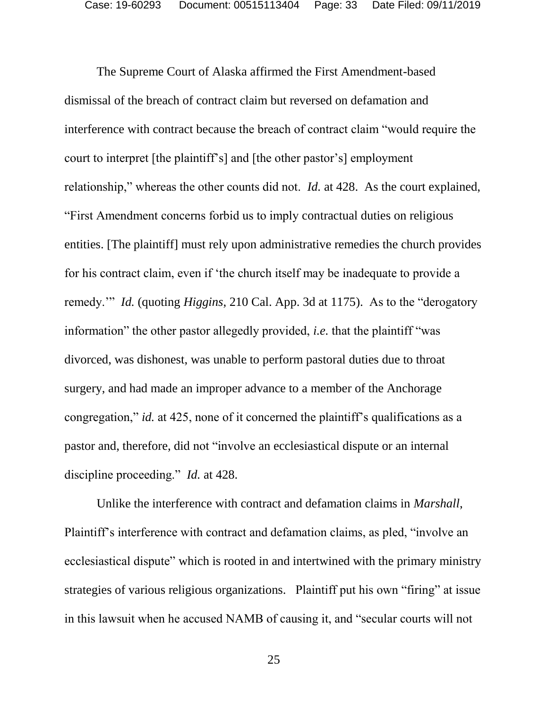The Supreme Court of Alaska affirmed the First Amendment-based dismissal of the breach of contract claim but reversed on defamation and interference with contract because the breach of contract claim "would require the court to interpret [the plaintiff's] and [the other pastor's] employment relationship," whereas the other counts did not. *Id.* at 428. As the court explained, "First Amendment concerns forbid us to imply contractual duties on religious entities. [The plaintiff] must rely upon administrative remedies the church provides for his contract claim, even if 'the church itself may be inadequate to provide a remedy.'" *Id.* (quoting *Higgins*, 210 Cal. App. 3d at 1175). As to the "derogatory information" the other pastor allegedly provided, *i.e.* that the plaintiff "was divorced, was dishonest, was unable to perform pastoral duties due to throat surgery, and had made an improper advance to a member of the Anchorage congregation," *id.* at 425, none of it concerned the plaintiff's qualifications as a pastor and, therefore, did not "involve an ecclesiastical dispute or an internal discipline proceeding." *Id.* at 428.

Unlike the interference with contract and defamation claims in *Marshall*, Plaintiff's interference with contract and defamation claims, as pled, "involve an ecclesiastical dispute" which is rooted in and intertwined with the primary ministry strategies of various religious organizations. Plaintiff put his own "firing" at issue in this lawsuit when he accused NAMB of causing it, and "secular courts will not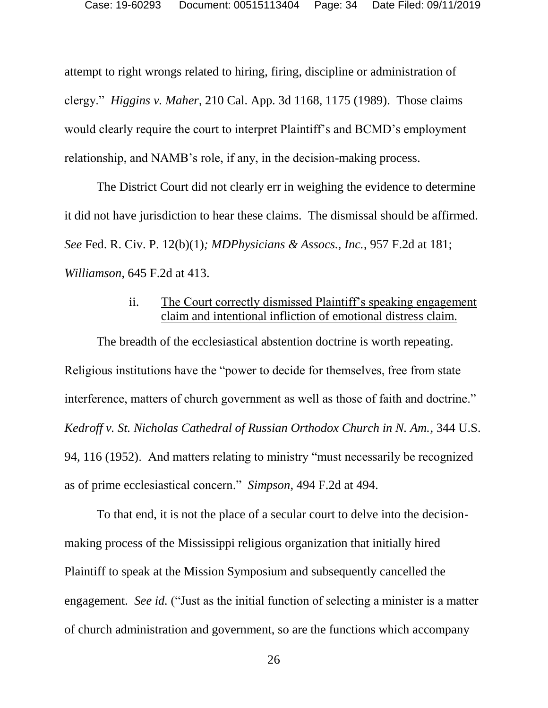attempt to right wrongs related to hiring, firing, discipline or administration of clergy." *Higgins v. Maher*, 210 Cal. App. 3d 1168, 1175 (1989). Those claims would clearly require the court to interpret Plaintiff's and BCMD's employment relationship, and NAMB's role, if any, in the decision-making process.

The District Court did not clearly err in weighing the evidence to determine it did not have jurisdiction to hear these claims. The dismissal should be affirmed. *See* Fed. R. Civ. P. 12(b)(1)*; MDPhysicians & Assocs., Inc.*, 957 F.2d at 181; *Williamson*, 645 F.2d at 413.

### ii. The Court correctly dismissed Plaintiff's speaking engagement claim and intentional infliction of emotional distress claim.

<span id="page-33-0"></span>The breadth of the ecclesiastical abstention doctrine is worth repeating. Religious institutions have the "power to decide for themselves, free from state interference, matters of church government as well as those of faith and doctrine." *Kedroff v. St. Nicholas Cathedral of Russian Orthodox Church in N. Am.*, 344 U.S. 94, 116 (1952). And matters relating to ministry "must necessarily be recognized as of prime ecclesiastical concern." *Simpson*, 494 F.2d at 494.

To that end, it is not the place of a secular court to delve into the decisionmaking process of the Mississippi religious organization that initially hired Plaintiff to speak at the Mission Symposium and subsequently cancelled the engagement. *See id.* ("Just as the initial function of selecting a minister is a matter of church administration and government, so are the functions which accompany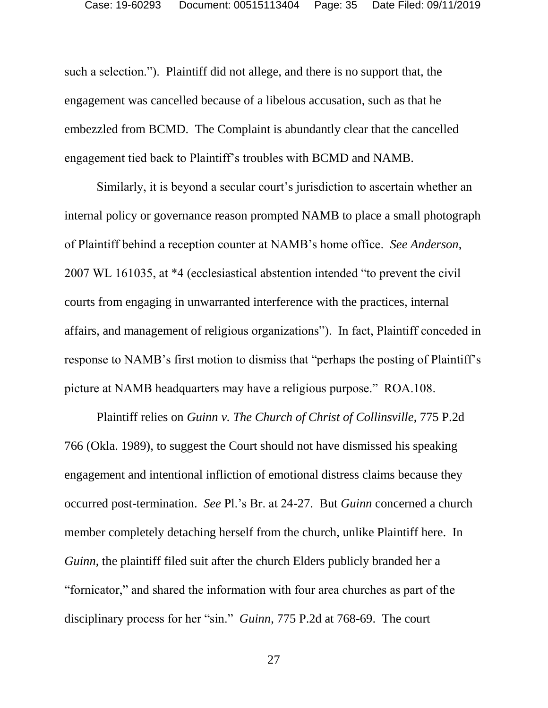such a selection."). Plaintiff did not allege, and there is no support that, the engagement was cancelled because of a libelous accusation, such as that he embezzled from BCMD. The Complaint is abundantly clear that the cancelled engagement tied back to Plaintiff's troubles with BCMD and NAMB.

Similarly, it is beyond a secular court's jurisdiction to ascertain whether an internal policy or governance reason prompted NAMB to place a small photograph of Plaintiff behind a reception counter at NAMB's home office. *See Anderson*, 2007 WL 161035, at \*4 (ecclesiastical abstention intended "to prevent the civil courts from engaging in unwarranted interference with the practices, internal affairs, and management of religious organizations"). In fact, Plaintiff conceded in response to NAMB's first motion to dismiss that "perhaps the posting of Plaintiff's picture at NAMB headquarters may have a religious purpose." ROA.108.

Plaintiff relies on *Guinn v. The Church of Christ of Collinsville*, 775 P.2d 766 (Okla. 1989), to suggest the Court should not have dismissed his speaking engagement and intentional infliction of emotional distress claims because they occurred post-termination. *See* Pl.'s Br. at 24-27. But *Guinn* concerned a church member completely detaching herself from the church, unlike Plaintiff here. In *Guinn*, the plaintiff filed suit after the church Elders publicly branded her a "fornicator," and shared the information with four area churches as part of the disciplinary process for her "sin." *Guinn*, 775 P.2d at 768-69. The court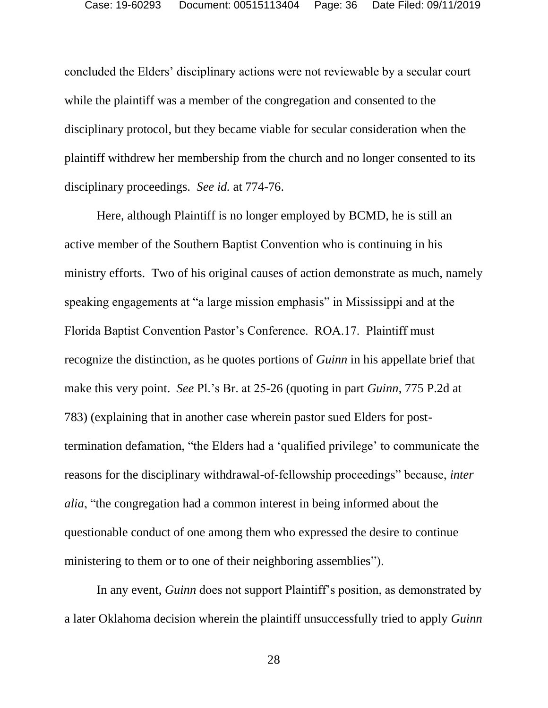concluded the Elders' disciplinary actions were not reviewable by a secular court while the plaintiff was a member of the congregation and consented to the disciplinary protocol, but they became viable for secular consideration when the plaintiff withdrew her membership from the church and no longer consented to its disciplinary proceedings. *See id.* at 774-76.

Here, although Plaintiff is no longer employed by BCMD, he is still an active member of the Southern Baptist Convention who is continuing in his ministry efforts. Two of his original causes of action demonstrate as much, namely speaking engagements at "a large mission emphasis" in Mississippi and at the Florida Baptist Convention Pastor's Conference. ROA.17. Plaintiff must recognize the distinction, as he quotes portions of *Guinn* in his appellate brief that make this very point. *See* Pl.'s Br. at 25-26 (quoting in part *Guinn*, 775 P.2d at 783) (explaining that in another case wherein pastor sued Elders for posttermination defamation, "the Elders had a 'qualified privilege' to communicate the reasons for the disciplinary withdrawal-of-fellowship proceedings" because, *inter alia*, "the congregation had a common interest in being informed about the questionable conduct of one among them who expressed the desire to continue ministering to them or to one of their neighboring assemblies").

In any event, *Guinn* does not support Plaintiff's position, as demonstrated by a later Oklahoma decision wherein the plaintiff unsuccessfully tried to apply *Guinn*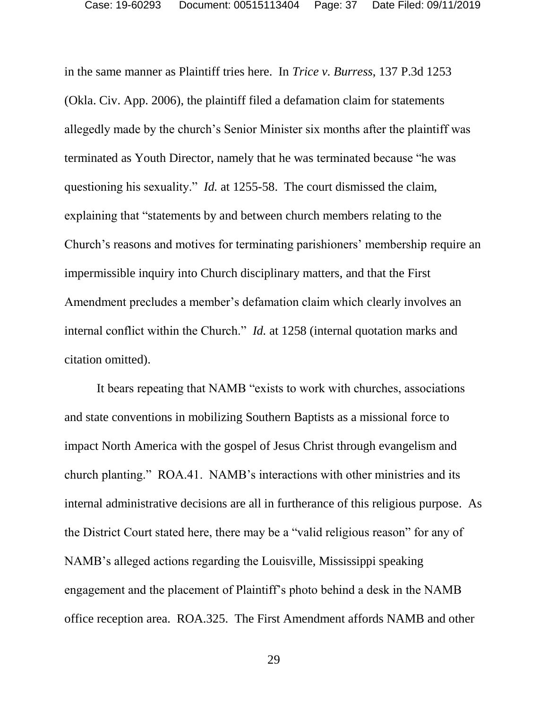in the same manner as Plaintiff tries here. In *Trice v. Burress*, 137 P.3d 1253 (Okla. Civ. App. 2006), the plaintiff filed a defamation claim for statements allegedly made by the church's Senior Minister six months after the plaintiff was terminated as Youth Director, namely that he was terminated because "he was questioning his sexuality." *Id.* at 1255-58. The court dismissed the claim, explaining that "statements by and between church members relating to the Church's reasons and motives for terminating parishioners' membership require an impermissible inquiry into Church disciplinary matters, and that the First Amendment precludes a member's defamation claim which clearly involves an internal conflict within the Church." *Id.* at 1258 (internal quotation marks and citation omitted).

It bears repeating that NAMB "exists to work with churches, associations and state conventions in mobilizing Southern Baptists as a missional force to impact North America with the gospel of Jesus Christ through evangelism and church planting." ROA.41. NAMB's interactions with other ministries and its internal administrative decisions are all in furtherance of this religious purpose. As the District Court stated here, there may be a "valid religious reason" for any of NAMB's alleged actions regarding the Louisville, Mississippi speaking engagement and the placement of Plaintiff's photo behind a desk in the NAMB office reception area. ROA.325. The First Amendment affords NAMB and other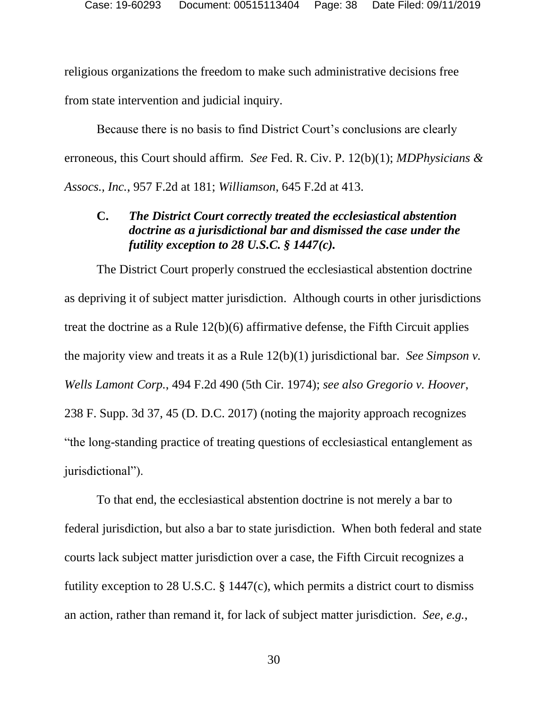religious organizations the freedom to make such administrative decisions free from state intervention and judicial inquiry.

Because there is no basis to find District Court's conclusions are clearly erroneous, this Court should affirm. *See* Fed. R. Civ. P. 12(b)(1); *MDPhysicians & Assocs., Inc.*, 957 F.2d at 181; *Williamson*, 645 F.2d at 413.

### <span id="page-37-0"></span>**C.** *The District Court correctly treated the ecclesiastical abstention doctrine as a jurisdictional bar and dismissed the case under the futility exception to 28 U.S.C. § 1447(c).*

The District Court properly construed the ecclesiastical abstention doctrine as depriving it of subject matter jurisdiction. Although courts in other jurisdictions treat the doctrine as a Rule 12(b)(6) affirmative defense, the Fifth Circuit applies the majority view and treats it as a Rule 12(b)(1) jurisdictional bar. *See Simpson v. Wells Lamont Corp.*, 494 F.2d 490 (5th Cir. 1974); *see also Gregorio v. Hoover*, 238 F. Supp. 3d 37, 45 (D. D.C. 2017) (noting the majority approach recognizes "the long-standing practice of treating questions of ecclesiastical entanglement as jurisdictional").

To that end, the ecclesiastical abstention doctrine is not merely a bar to federal jurisdiction, but also a bar to state jurisdiction. When both federal and state courts lack subject matter jurisdiction over a case, the Fifth Circuit recognizes a futility exception to 28 U.S.C. § 1447(c), which permits a district court to dismiss an action, rather than remand it, for lack of subject matter jurisdiction. *See, e.g.*,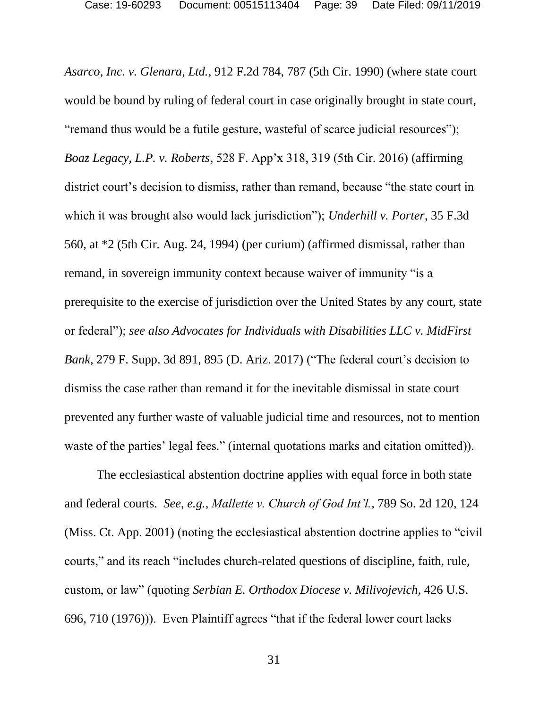*Asarco, Inc. v. Glenara, Ltd.*, 912 F.2d 784, 787 (5th Cir. 1990) (where state court would be bound by ruling of federal court in case originally brought in state court, "remand thus would be a futile gesture, wasteful of scarce judicial resources"); *Boaz Legacy, L.P. v. Roberts*, 528 F. App'x 318, 319 (5th Cir. 2016) (affirming district court's decision to dismiss, rather than remand, because "the state court in which it was brought also would lack jurisdiction"); *Underhill v. Porter*, 35 F.3d 560, at \*2 (5th Cir. Aug. 24, 1994) (per curium) (affirmed dismissal, rather than remand, in sovereign immunity context because waiver of immunity "is a prerequisite to the exercise of jurisdiction over the United States by any court, state or federal"); *see also Advocates for Individuals with Disabilities LLC v. MidFirst Bank*, 279 F. Supp. 3d 891, 895 (D. Ariz. 2017) ("The federal court's decision to dismiss the case rather than remand it for the inevitable dismissal in state court prevented any further waste of valuable judicial time and resources, not to mention waste of the parties' legal fees." (internal quotations marks and citation omitted)).

The ecclesiastical abstention doctrine applies with equal force in both state and federal courts. *See, e.g.*, *Mallette v. Church of God Int'l.*, 789 So. 2d 120, 124 (Miss. Ct. App. 2001) (noting the ecclesiastical abstention doctrine applies to "civil courts," and its reach "includes church-related questions of discipline, faith, rule, custom, or law" (quoting *Serbian E. Orthodox Diocese v. Milivojevich*, 426 U.S. 696, 710 (1976))). Even Plaintiff agrees "that if the federal lower court lacks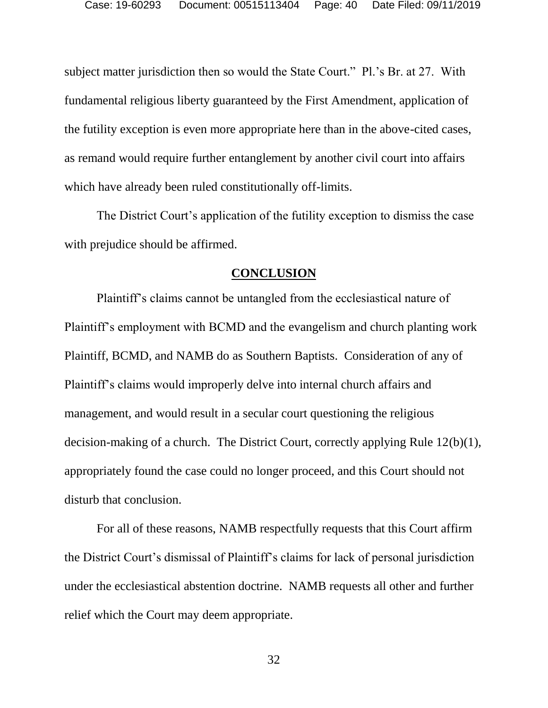subject matter jurisdiction then so would the State Court." Pl.'s Br. at 27. With fundamental religious liberty guaranteed by the First Amendment, application of the futility exception is even more appropriate here than in the above-cited cases, as remand would require further entanglement by another civil court into affairs which have already been ruled constitutionally off-limits.

The District Court's application of the futility exception to dismiss the case with prejudice should be affirmed.

#### **CONCLUSION**

<span id="page-39-0"></span>Plaintiff's claims cannot be untangled from the ecclesiastical nature of Plaintiff's employment with BCMD and the evangelism and church planting work Plaintiff, BCMD, and NAMB do as Southern Baptists. Consideration of any of Plaintiff's claims would improperly delve into internal church affairs and management, and would result in a secular court questioning the religious decision-making of a church. The District Court, correctly applying Rule 12(b)(1), appropriately found the case could no longer proceed, and this Court should not disturb that conclusion.

For all of these reasons, NAMB respectfully requests that this Court affirm the District Court's dismissal of Plaintiff's claims for lack of personal jurisdiction under the ecclesiastical abstention doctrine. NAMB requests all other and further relief which the Court may deem appropriate.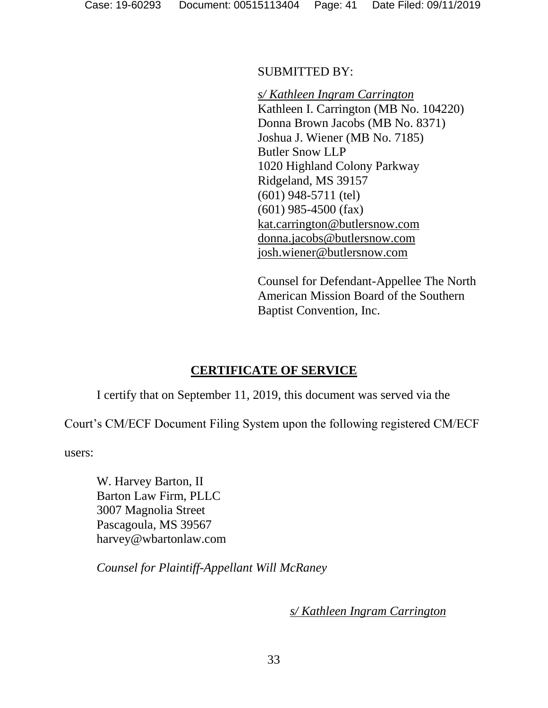SUBMITTED BY:

*s/ Kathleen Ingram Carrington* Kathleen I. Carrington (MB No. 104220) Donna Brown Jacobs (MB No. 8371) Joshua J. Wiener (MB No. 7185) Butler Snow LLP 1020 Highland Colony Parkway Ridgeland, MS 39157 (601) 948-5711 (tel) (601) 985-4500 (fax) kat.carrington@butlersnow.com donna.jacobs@butlersnow.com josh.wiener@butlersnow.com

Counsel for Defendant-Appellee The North American Mission Board of the Southern Baptist Convention, Inc.

### **CERTIFICATE OF SERVICE**

<span id="page-40-0"></span>I certify that on September 11, 2019, this document was served via the

Court's CM/ECF Document Filing System upon the following registered CM/ECF

users:

W. Harvey Barton, II Barton Law Firm, PLLC 3007 Magnolia Street Pascagoula, MS 39567 harvey@wbartonlaw.com

*Counsel for Plaintiff-Appellant Will McRaney*

*s/ Kathleen Ingram Carrington*